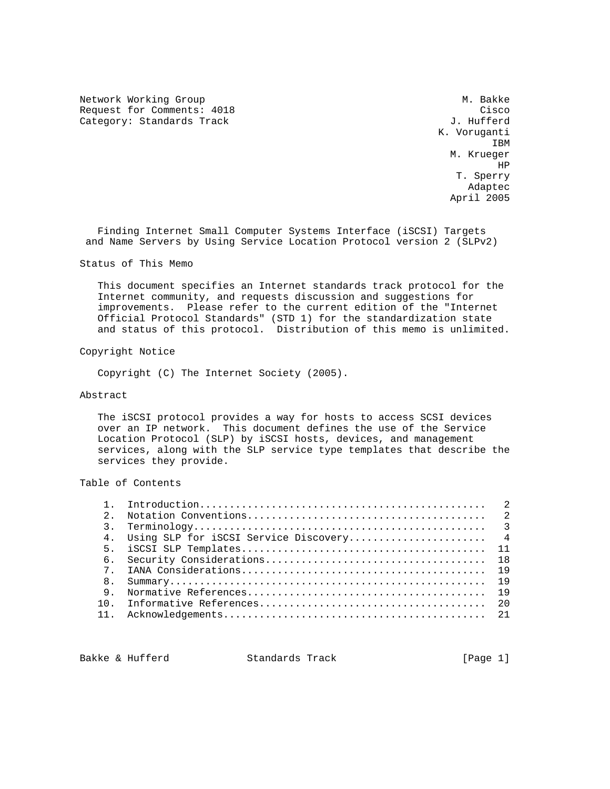Network Working Group Methods and the Music Control of Music Control of Music Control of Music Control of Music Control of Music Control of Music Control of Music Control of Music Control of Music Control of Music Control Request for Comments: 4018 Cisco Category: Standards Track

 K. Voruganti **IBM IBM**  M. Krueger H<sub>p</sub> and the second second second second second second second second second second second second second second second second second second second second second second second second second second second second second second T. Sperry Adapted the control of the control of the control of the control of the control of the control of the control of the control of the control of the control of the control of the control of the control of the control of the April 2005

 Finding Internet Small Computer Systems Interface (iSCSI) Targets and Name Servers by Using Service Location Protocol version 2 (SLPv2)

Status of This Memo

 This document specifies an Internet standards track protocol for the Internet community, and requests discussion and suggestions for improvements. Please refer to the current edition of the "Internet Official Protocol Standards" (STD 1) for the standardization state and status of this protocol. Distribution of this memo is unlimited.

Copyright Notice

Copyright (C) The Internet Society (2005).

#### Abstract

 The iSCSI protocol provides a way for hosts to access SCSI devices over an IP network. This document defines the use of the Service Location Protocol (SLP) by iSCSI hosts, devices, and management services, along with the SLP service type templates that describe the services they provide.

Table of Contents

| $2^{\circ}$ |  |
|-------------|--|
|             |  |
|             |  |
|             |  |
| 6.          |  |
| 7           |  |
| 8.          |  |
| 9           |  |
|             |  |
|             |  |
|             |  |

Bakke & Hufferd Standards Track [Page 1]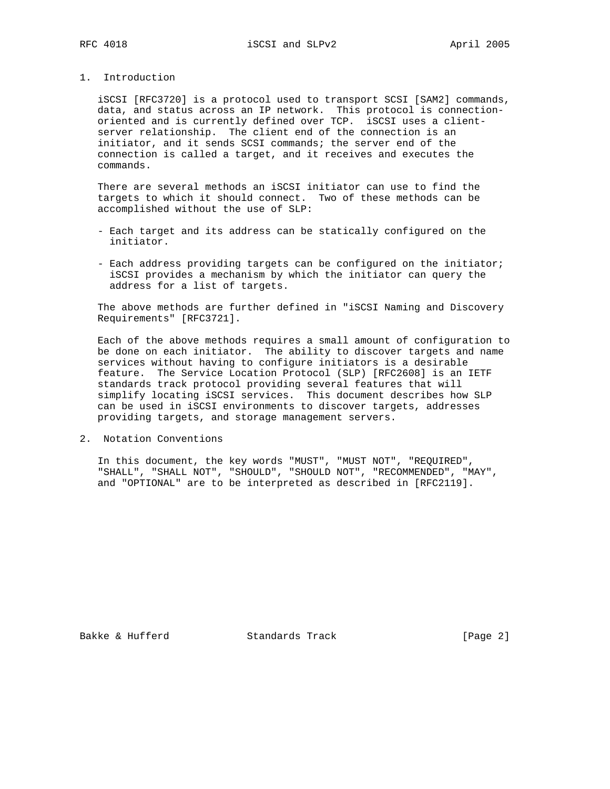## 1. Introduction

 iSCSI [RFC3720] is a protocol used to transport SCSI [SAM2] commands, data, and status across an IP network. This protocol is connection oriented and is currently defined over TCP. iSCSI uses a client server relationship. The client end of the connection is an initiator, and it sends SCSI commands; the server end of the connection is called a target, and it receives and executes the commands.

 There are several methods an iSCSI initiator can use to find the targets to which it should connect. Two of these methods can be accomplished without the use of SLP:

- Each target and its address can be statically configured on the initiator.
- Each address providing targets can be configured on the initiator; iSCSI provides a mechanism by which the initiator can query the address for a list of targets.

 The above methods are further defined in "iSCSI Naming and Discovery Requirements" [RFC3721].

 Each of the above methods requires a small amount of configuration to be done on each initiator. The ability to discover targets and name services without having to configure initiators is a desirable feature. The Service Location Protocol (SLP) [RFC2608] is an IETF standards track protocol providing several features that will simplify locating iSCSI services. This document describes how SLP can be used in iSCSI environments to discover targets, addresses providing targets, and storage management servers.

2. Notation Conventions

 In this document, the key words "MUST", "MUST NOT", "REQUIRED", "SHALL", "SHALL NOT", "SHOULD", "SHOULD NOT", "RECOMMENDED", "MAY", and "OPTIONAL" are to be interpreted as described in [RFC2119].

Bakke & Hufferd Standards Track [Page 2]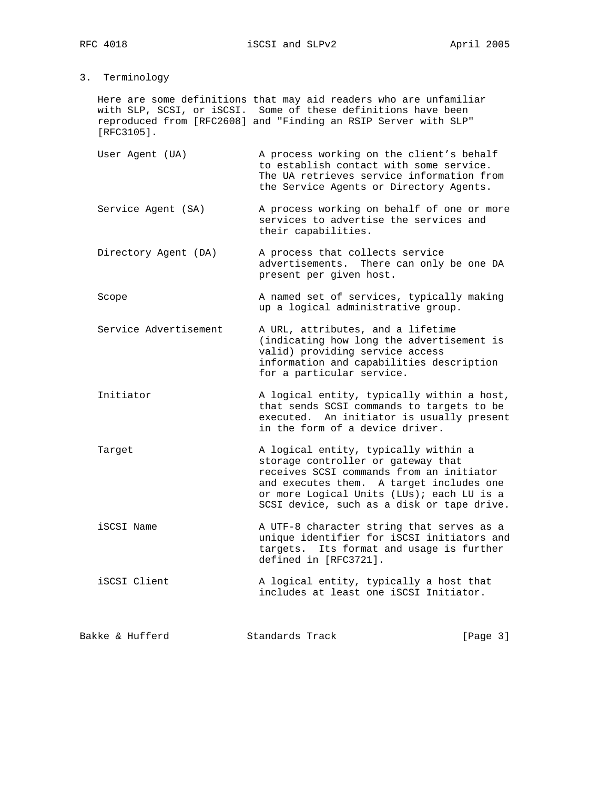3. Terminology

 Here are some definitions that may aid readers who are unfamiliar with SLP, SCSI, or iSCSI. Some of these definitions have been reproduced from [RFC2608] and "Finding an RSIP Server with SLP" [RFC3105].

- User Agent (UA) A process working on the client's behalf to establish contact with some service. The UA retrieves service information from the Service Agents or Directory Agents.
- Service Agent (SA) A process working on behalf of one or more services to advertise the services and their capabilities.
- Directory Agent (DA) A process that collects service advertisements. There can only be one DA present per given host.
- Scope A named set of services, typically making up a logical administrative group.
- Service Advertisement A URL, attributes, and a lifetime (indicating how long the advertisement is valid) providing service access information and capabilities description for a particular service.
- Initiator **A** logical entity, typically within a host, that sends SCSI commands to targets to be executed. An initiator is usually present in the form of a device driver.
- Target **A** logical entity, typically within a storage controller or gateway that receives SCSI commands from an initiator and executes them. A target includes one or more Logical Units (LUs); each LU is a SCSI device, such as a disk or tape drive.
- iSCSI Name  $A$  UTF-8 character string that serves as a unique identifier for iSCSI initiators and targets. Its format and usage is further defined in [RFC3721].
- iSCSI Client **A** logical entity, typically a host that includes at least one iSCSI Initiator.

Bakke & Hufferd Standards Track [Page 3]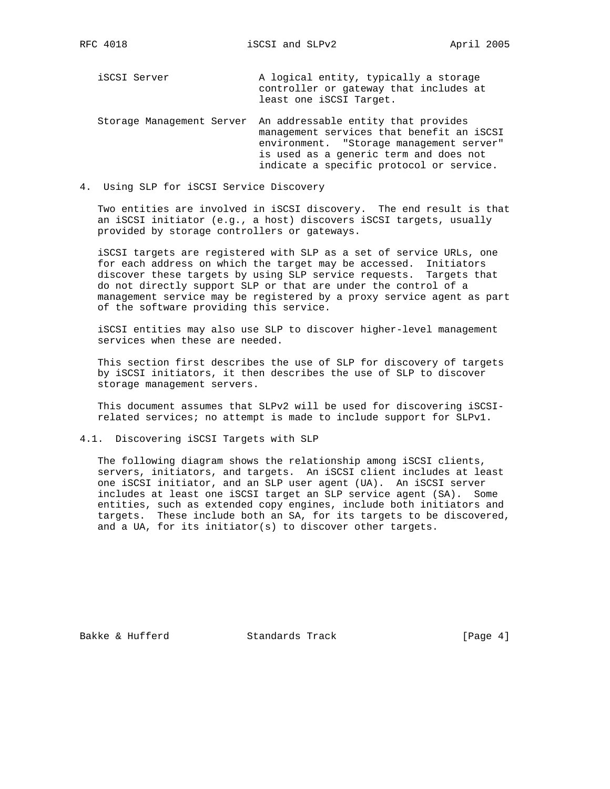| iSCSI Server              | A logical entity, typically a storage<br>controller or gateway that includes at<br>least one iSCSI Target.                                                                                                         |
|---------------------------|--------------------------------------------------------------------------------------------------------------------------------------------------------------------------------------------------------------------|
| Storage Management Server | An addressable entity that provides<br>management services that benefit an iSCSI<br>environment. "Storage management server"<br>is used as a generic term and does not<br>indicate a specific protocol or service. |

4. Using SLP for iSCSI Service Discovery

 Two entities are involved in iSCSI discovery. The end result is that an iSCSI initiator (e.g., a host) discovers iSCSI targets, usually provided by storage controllers or gateways.

 iSCSI targets are registered with SLP as a set of service URLs, one for each address on which the target may be accessed. Initiators discover these targets by using SLP service requests. Targets that do not directly support SLP or that are under the control of a management service may be registered by a proxy service agent as part of the software providing this service.

 iSCSI entities may also use SLP to discover higher-level management services when these are needed.

 This section first describes the use of SLP for discovery of targets by iSCSI initiators, it then describes the use of SLP to discover storage management servers.

 This document assumes that SLPv2 will be used for discovering iSCSI related services; no attempt is made to include support for SLPv1.

## 4.1. Discovering iSCSI Targets with SLP

 The following diagram shows the relationship among iSCSI clients, servers, initiators, and targets. An iSCSI client includes at least one iSCSI initiator, and an SLP user agent (UA). An iSCSI server includes at least one iSCSI target an SLP service agent (SA). Some entities, such as extended copy engines, include both initiators and targets. These include both an SA, for its targets to be discovered, and a UA, for its initiator(s) to discover other targets.

Bakke & Hufferd Standards Track [Page 4]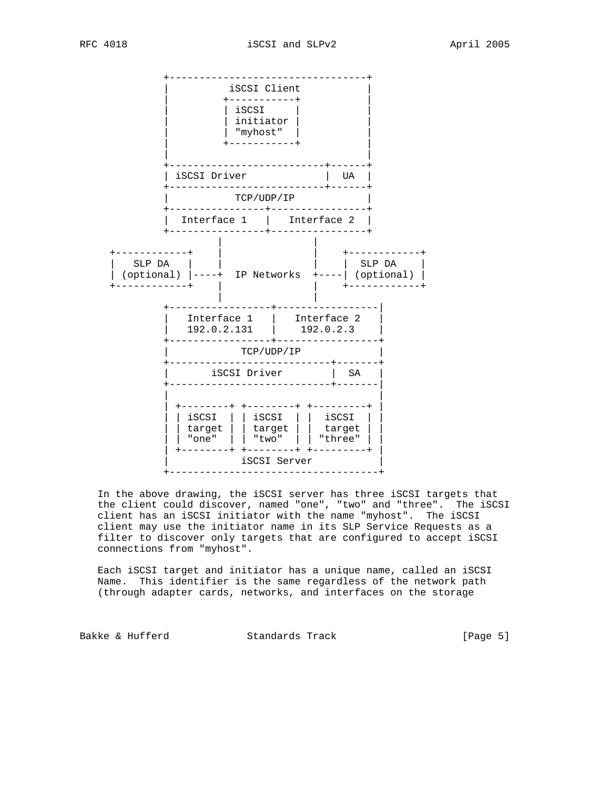

 In the above drawing, the iSCSI server has three iSCSI targets that the client could discover, named "one", "two" and "three". The iSCSI client has an iSCSI initiator with the name "myhost". The iSCSI client may use the initiator name in its SLP Service Requests as a filter to discover only targets that are configured to accept iSCSI connections from "myhost".

 Each iSCSI target and initiator has a unique name, called an iSCSI Name. This identifier is the same regardless of the network path (through adapter cards, networks, and interfaces on the storage

Bakke & Hufferd Standards Track [Page 5]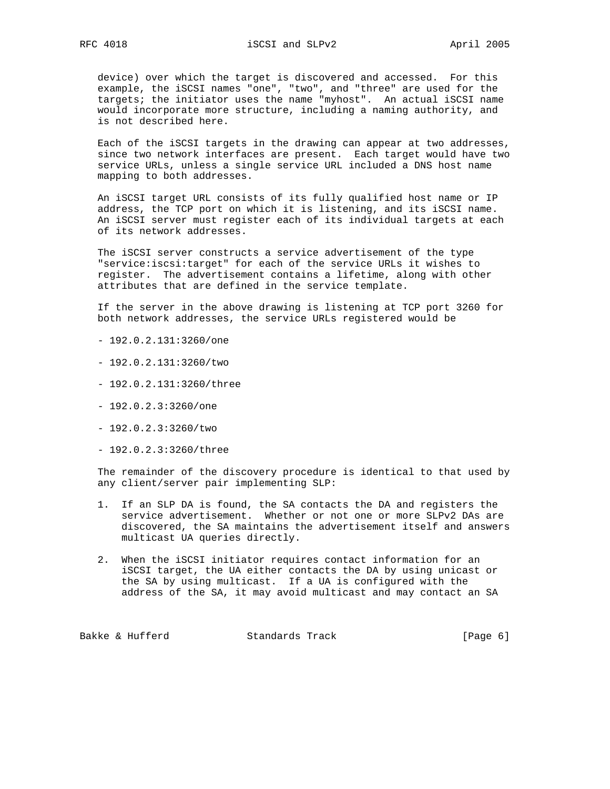device) over which the target is discovered and accessed. For this example, the iSCSI names "one", "two", and "three" are used for the targets; the initiator uses the name "myhost". An actual iSCSI name would incorporate more structure, including a naming authority, and is not described here.

 Each of the iSCSI targets in the drawing can appear at two addresses, since two network interfaces are present. Each target would have two service URLs, unless a single service URL included a DNS host name mapping to both addresses.

 An iSCSI target URL consists of its fully qualified host name or IP address, the TCP port on which it is listening, and its iSCSI name. An iSCSI server must register each of its individual targets at each of its network addresses.

 The iSCSI server constructs a service advertisement of the type "service:iscsi:target" for each of the service URLs it wishes to register. The advertisement contains a lifetime, along with other attributes that are defined in the service template.

 If the server in the above drawing is listening at TCP port 3260 for both network addresses, the service URLs registered would be

- 192.0.2.131:3260/one
- 192.0.2.131:3260/two
- 192.0.2.131:3260/three
- 192.0.2.3:3260/one
- 192.0.2.3:3260/two
- 192.0.2.3:3260/three

 The remainder of the discovery procedure is identical to that used by any client/server pair implementing SLP:

- 1. If an SLP DA is found, the SA contacts the DA and registers the service advertisement. Whether or not one or more SLPv2 DAs are discovered, the SA maintains the advertisement itself and answers multicast UA queries directly.
- 2. When the iSCSI initiator requires contact information for an iSCSI target, the UA either contacts the DA by using unicast or the SA by using multicast. If a UA is configured with the address of the SA, it may avoid multicast and may contact an SA

Bakke & Hufferd **Standards Track** [Page 6]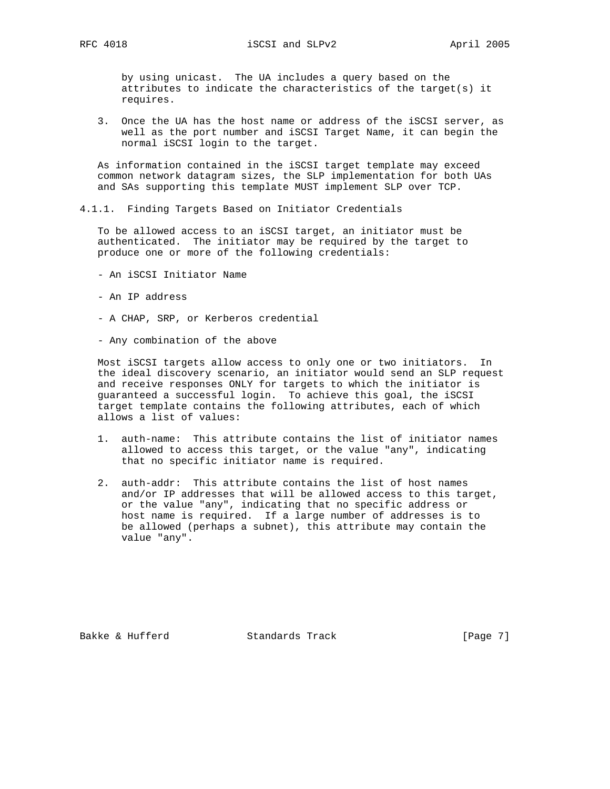by using unicast. The UA includes a query based on the attributes to indicate the characteristics of the target(s) it requires.

 3. Once the UA has the host name or address of the iSCSI server, as well as the port number and iSCSI Target Name, it can begin the normal iSCSI login to the target.

 As information contained in the iSCSI target template may exceed common network datagram sizes, the SLP implementation for both UAs and SAs supporting this template MUST implement SLP over TCP.

4.1.1. Finding Targets Based on Initiator Credentials

 To be allowed access to an iSCSI target, an initiator must be authenticated. The initiator may be required by the target to produce one or more of the following credentials:

- An iSCSI Initiator Name
- An IP address
- A CHAP, SRP, or Kerberos credential
- Any combination of the above

 Most iSCSI targets allow access to only one or two initiators. In the ideal discovery scenario, an initiator would send an SLP request and receive responses ONLY for targets to which the initiator is guaranteed a successful login. To achieve this goal, the iSCSI target template contains the following attributes, each of which allows a list of values:

- 1. auth-name: This attribute contains the list of initiator names allowed to access this target, or the value "any", indicating that no specific initiator name is required.
- 2. auth-addr: This attribute contains the list of host names and/or IP addresses that will be allowed access to this target, or the value "any", indicating that no specific address or host name is required. If a large number of addresses is to be allowed (perhaps a subnet), this attribute may contain the value "any".

Bakke & Hufferd Standards Track [Page 7]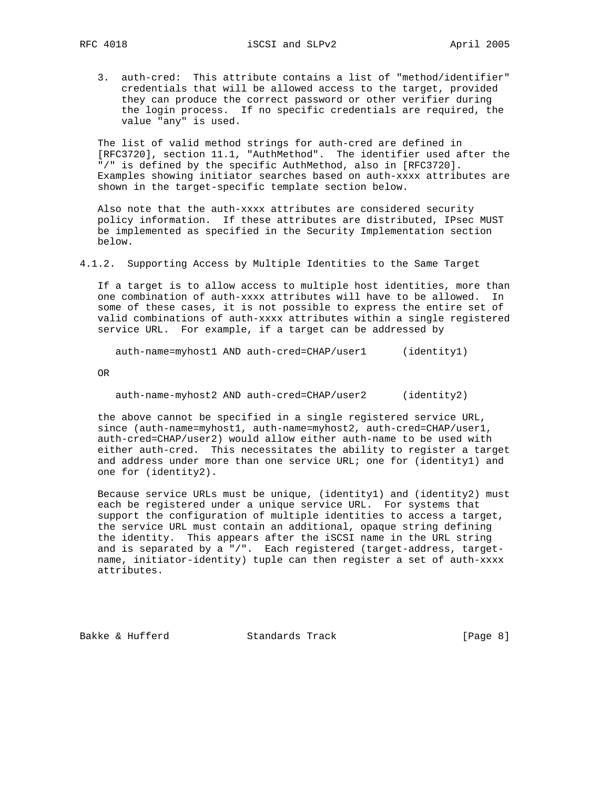3. auth-cred: This attribute contains a list of "method/identifier" credentials that will be allowed access to the target, provided they can produce the correct password or other verifier during the login process. If no specific credentials are required, the value "any" is used.

 The list of valid method strings for auth-cred are defined in [RFC3720], section 11.1, "AuthMethod". The identifier used after the "/" is defined by the specific AuthMethod, also in [RFC3720]. Examples showing initiator searches based on auth-xxxx attributes are shown in the target-specific template section below.

 Also note that the auth-xxxx attributes are considered security policy information. If these attributes are distributed, IPsec MUST be implemented as specified in the Security Implementation section below.

4.1.2. Supporting Access by Multiple Identities to the Same Target

 If a target is to allow access to multiple host identities, more than one combination of auth-xxxx attributes will have to be allowed. In some of these cases, it is not possible to express the entire set of valid combinations of auth-xxxx attributes within a single registered service URL. For example, if a target can be addressed by

auth-name=myhost1 AND auth-cred=CHAP/user1 (identity1)

OR

auth-name-myhost2 AND auth-cred=CHAP/user2 (identity2)

 the above cannot be specified in a single registered service URL, since (auth-name=myhost1, auth-name=myhost2, auth-cred=CHAP/user1, auth-cred=CHAP/user2) would allow either auth-name to be used with either auth-cred. This necessitates the ability to register a target and address under more than one service URL; one for (identity1) and one for (identity2).

 Because service URLs must be unique, (identity1) and (identity2) must each be registered under a unique service URL. For systems that support the configuration of multiple identities to access a target, the service URL must contain an additional, opaque string defining the identity. This appears after the iSCSI name in the URL string and is separated by a "/". Each registered (target-address, target name, initiator-identity) tuple can then register a set of auth-xxxx attributes.

Bakke & Hufferd Standards Track [Page 8]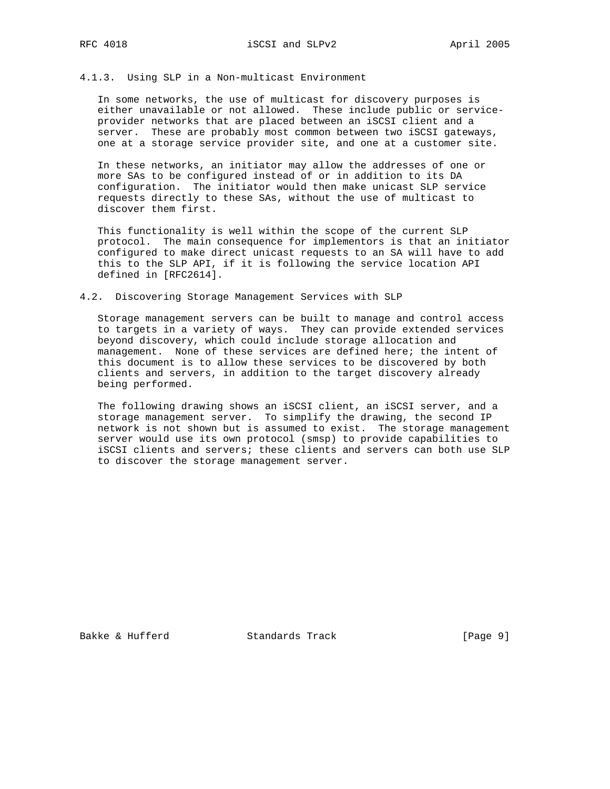# 4.1.3. Using SLP in a Non-multicast Environment

 In some networks, the use of multicast for discovery purposes is either unavailable or not allowed. These include public or service provider networks that are placed between an iSCSI client and a server. These are probably most common between two iSCSI gateways, one at a storage service provider site, and one at a customer site.

 In these networks, an initiator may allow the addresses of one or more SAs to be configured instead of or in addition to its DA configuration. The initiator would then make unicast SLP service requests directly to these SAs, without the use of multicast to discover them first.

 This functionality is well within the scope of the current SLP protocol. The main consequence for implementors is that an initiator configured to make direct unicast requests to an SA will have to add this to the SLP API, if it is following the service location API defined in [RFC2614].

#### 4.2. Discovering Storage Management Services with SLP

 Storage management servers can be built to manage and control access to targets in a variety of ways. They can provide extended services beyond discovery, which could include storage allocation and management. None of these services are defined here; the intent of this document is to allow these services to be discovered by both clients and servers, in addition to the target discovery already being performed.

 The following drawing shows an iSCSI client, an iSCSI server, and a storage management server. To simplify the drawing, the second IP network is not shown but is assumed to exist. The storage management server would use its own protocol (smsp) to provide capabilities to iSCSI clients and servers; these clients and servers can both use SLP to discover the storage management server.

Bakke & Hufferd Standards Track [Page 9]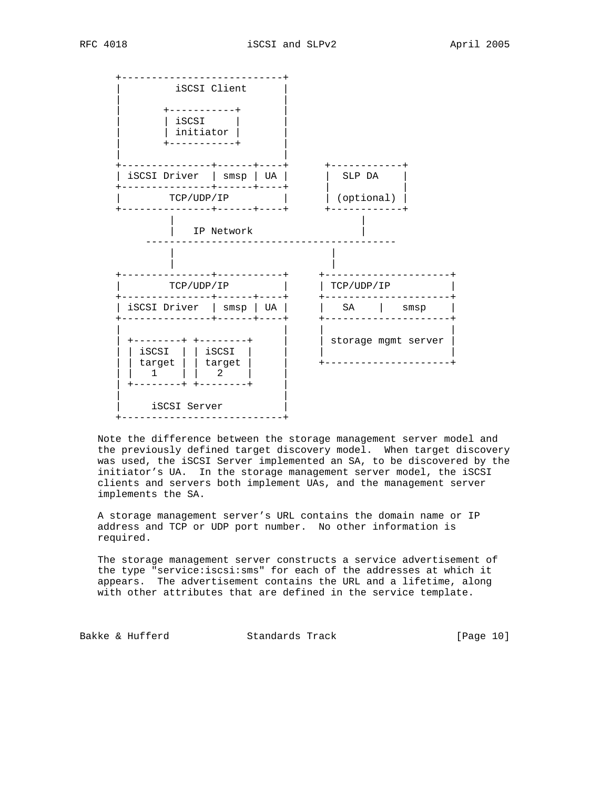

 Note the difference between the storage management server model and the previously defined target discovery model. When target discovery was used, the iSCSI Server implemented an SA, to be discovered by the initiator's UA. In the storage management server model, the iSCSI clients and servers both implement UAs, and the management server implements the SA.

 A storage management server's URL contains the domain name or IP address and TCP or UDP port number. No other information is required.

 The storage management server constructs a service advertisement of the type "service:iscsi:sms" for each of the addresses at which it appears. The advertisement contains the URL and a lifetime, along with other attributes that are defined in the service template.

Bakke & Hufferd Standards Track [Page 10]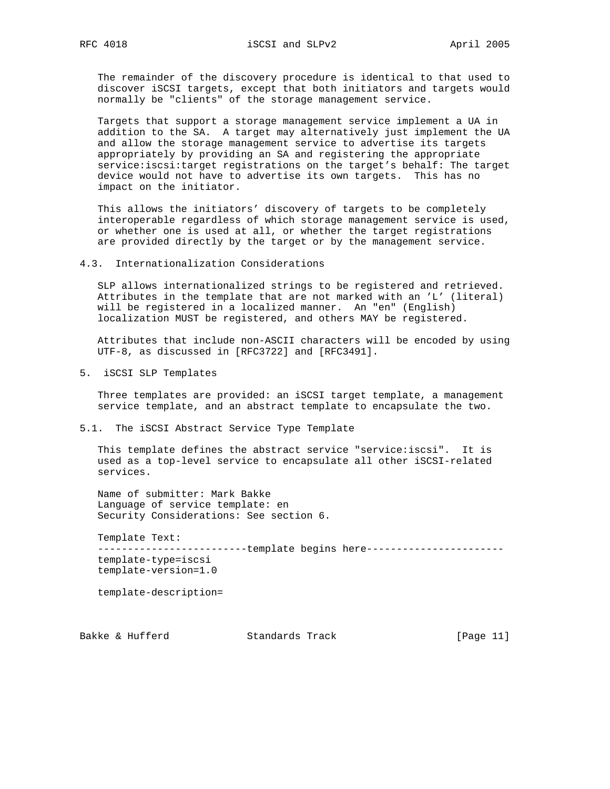The remainder of the discovery procedure is identical to that used to discover iSCSI targets, except that both initiators and targets would normally be "clients" of the storage management service.

 Targets that support a storage management service implement a UA in addition to the SA. A target may alternatively just implement the UA and allow the storage management service to advertise its targets appropriately by providing an SA and registering the appropriate service:iscsi:target registrations on the target's behalf: The target device would not have to advertise its own targets. This has no impact on the initiator.

 This allows the initiators' discovery of targets to be completely interoperable regardless of which storage management service is used, or whether one is used at all, or whether the target registrations are provided directly by the target or by the management service.

4.3. Internationalization Considerations

 SLP allows internationalized strings to be registered and retrieved. Attributes in the template that are not marked with an 'L' (literal) will be registered in a localized manner. An "en" (English) localization MUST be registered, and others MAY be registered.

 Attributes that include non-ASCII characters will be encoded by using UTF-8, as discussed in [RFC3722] and [RFC3491].

5. iSCSI SLP Templates

 Three templates are provided: an iSCSI target template, a management service template, and an abstract template to encapsulate the two.

## 5.1. The iSCSI Abstract Service Type Template

 This template defines the abstract service "service:iscsi". It is used as a top-level service to encapsulate all other iSCSI-related services.

 Name of submitter: Mark Bakke Language of service template: en Security Considerations: See section 6.

 Template Text: ----------------------------template begins here------------------------ template-type=iscsi template-version=1.0

template-description=

Bakke & Hufferd Standards Track [Page 11]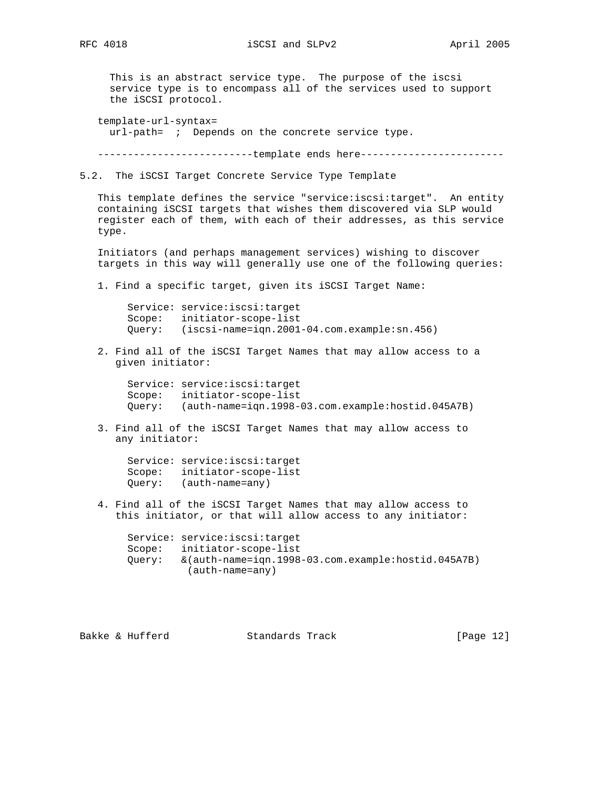This is an abstract service type. The purpose of the iscsi service type is to encompass all of the services used to support the iSCSI protocol.

template-url-syntax=

url-path= ; Depends on the concrete service type.

----------------------------template ends here-------------------------

5.2. The iSCSI Target Concrete Service Type Template

 This template defines the service "service:iscsi:target". An entity containing iSCSI targets that wishes them discovered via SLP would register each of them, with each of their addresses, as this service type.

 Initiators (and perhaps management services) wishing to discover targets in this way will generally use one of the following queries:

1. Find a specific target, given its iSCSI Target Name:

 Service: service:iscsi:target Scope: initiator-scope-list Query: (iscsi-name=iqn.2001-04.com.example:sn.456)

 2. Find all of the iSCSI Target Names that may allow access to a given initiator:

 Service: service:iscsi:target Scope: initiator-scope-list Query: (auth-name=iqn.1998-03.com.example:hostid.045A7B)

 3. Find all of the iSCSI Target Names that may allow access to any initiator:

```
 Service: service:iscsi:target
 Scope: initiator-scope-list
 Query: (auth-name=any)
```
 4. Find all of the iSCSI Target Names that may allow access to this initiator, or that will allow access to any initiator:

 Service: service:iscsi:target Scope: initiator-scope-list Query: &(auth-name=iqn.1998-03.com.example:hostid.045A7B) (auth-name=any)

Bakke & Hufferd Standards Track [Page 12]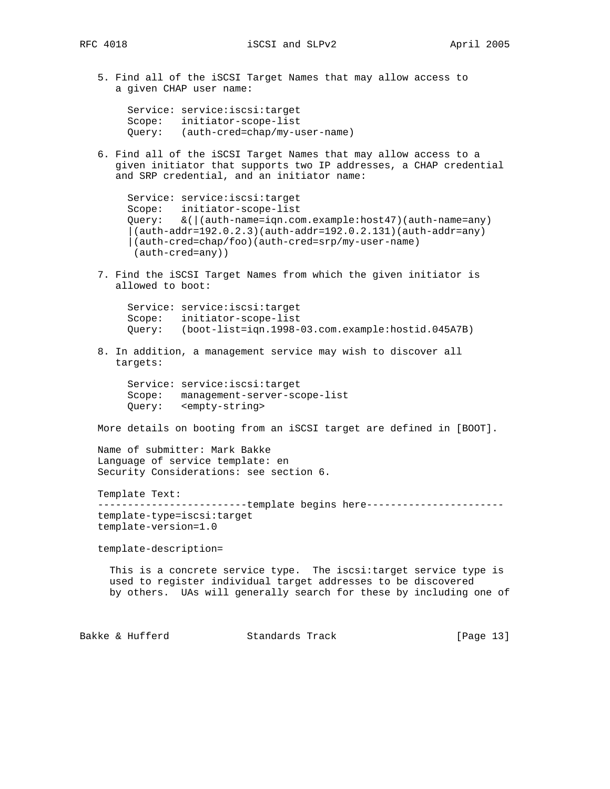5. Find all of the iSCSI Target Names that may allow access to a given CHAP user name:

```
 Service: service:iscsi:target
 Scope: initiator-scope-list
 Query: (auth-cred=chap/my-user-name)
```
 6. Find all of the iSCSI Target Names that may allow access to a given initiator that supports two IP addresses, a CHAP credential and SRP credential, and an initiator name:

```
 Service: service:iscsi:target
 Scope: initiator-scope-list
 Query: &(|(auth-name=iqn.com.example:host47)(auth-name=any)
 (auth-addr=192.0.2.3)(auth-addr=192.0.2.131)(auth-addr=any) |(auth-cred=chap/foo)(auth-cred=srp/my-user-name)
  (auth-cred=any))
```
 7. Find the iSCSI Target Names from which the given initiator is allowed to boot:

 Service: service:iscsi:target Scope: initiator-scope-list Query: (boot-list=iqn.1998-03.com.example:hostid.045A7B)

 8. In addition, a management service may wish to discover all targets:

 Service: service:iscsi:target Scope: management-server-scope-list Query: <empty-string>

More details on booting from an iSCSI target are defined in [BOOT].

 Name of submitter: Mark Bakke Language of service template: en Security Considerations: see section 6.

Template Text:

---------------------------template begins here------------------------ template-type=iscsi:target template-version=1.0

template-description=

 This is a concrete service type. The iscsi:target service type is used to register individual target addresses to be discovered by others. UAs will generally search for these by including one of

Bakke & Hufferd Standards Track [Page 13]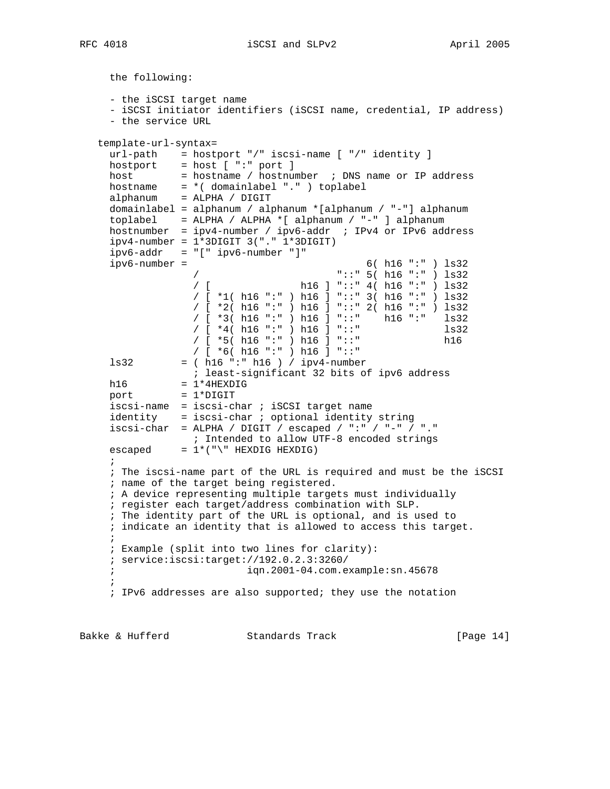the following:

```
 - the iSCSI target name
     - iSCSI initiator identifiers (iSCSI name, credential, IP address)
     - the service URL
   template-url-syntax=
     url-path = hostport "/" iscsi-name [ "/" identity ]
    hostport = host [ ":" port ]
    host = hostname / hostnumber ; DNS name or IP address
 hostname = *( domainlabel "." ) toplabel
 alphanum = ALPHA / DIGIT
     domainlabel = alphanum / alphanum *[alphanum / "-"] alphanum
     toplabel = ALPHA / ALPHA *[ alphanum / "-" ] alphanum
    hostnumber = ipy4-number / ipv6-addr ; IPv4 or IPv6 addressipv4-number = 1*3DIGIT 3("." 1*3DIGIT)ipv6-addr = "[" ipv6-number "]"
     ipv6-number = 6( h16 ":" ) ls32
                   / "::" 5( h16 ":" ) ls32
                                  h16 ] "::" 4( h16 ":" ) ls32
                   / [ *1( h16 ":" ) h16 ] "::" 3( h16 ":" ) ls32
                   / [ *2( h16 ":" ) h16 ] "::" 2( h16 ":" ) ls32
                   / [ *3( h16 ":" ) h16 ] "::" h16 ":" ls32
                   / [ *4( h16 ":" ) h16 ] "::" ls32
                   / [ *5( h16 ":" ) h16 ] "::" h16
    \frac{1}{832} = (h16 ":" h16 ) / ipv4-number
               = ( h16 ":" h16 ) / ipv4-number
                ; least-significant 32 bits of ipv6 address
h16 = 1*4HEXDIGport = 1*DiffIT iscsi-name = iscsi-char ; iSCSI target name
     identity = iscsi-char ; optional identity string
    iscsi-char = ALPHA / DIGIT / escaped / ":" / "-" / "."
                  ; Intended to allow UTF-8 encoded strings
    \texttt{escaped} = 1^*(\texttt{"}\texttt{HEXDIG HEXDIG})\mathbf{z} ; The iscsi-name part of the URL is required and must be the iSCSI
     ; name of the target being registered.
     ; A device representing multiple targets must individually
     ; register each target/address combination with SLP.
     ; The identity part of the URL is optional, and is used to
     ; indicate an identity that is allowed to access this target.
\mathbf{i} ; Example (split into two lines for clarity):
     ; service:iscsi:target://192.0.2.3:3260/
                           ; iqn.2001-04.com.example:sn.45678
\mathbf{i} ; IPv6 addresses are also supported; they use the notation
```
Bakke & Hufferd Standards Track [Page 14]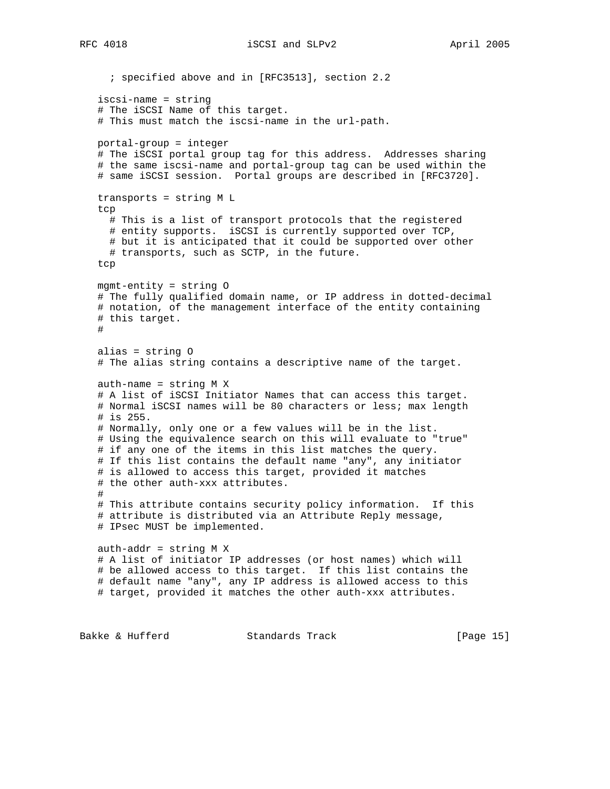```
 ; specified above and in [RFC3513], section 2.2
    iscsi-name = string
    # The iSCSI Name of this target.
    # This must match the iscsi-name in the url-path.
   portal-group = integer
    # The iSCSI portal group tag for this address. Addresses sharing
    # the same iscsi-name and portal-group tag can be used within the
    # same iSCSI session. Portal groups are described in [RFC3720].
   transports = string M L
    tcp
     # This is a list of transport protocols that the registered
     # entity supports. iSCSI is currently supported over TCP,
     # but it is anticipated that it could be supported over other
     # transports, such as SCTP, in the future.
    tcp
   mgmt-entity = string O
    # The fully qualified domain name, or IP address in dotted-decimal
    # notation, of the management interface of the entity containing
    # this target.
    #
    alias = string O
    # The alias string contains a descriptive name of the target.
   auth-name = string M X
   # A list of iSCSI Initiator Names that can access this target.
    # Normal iSCSI names will be 80 characters or less; max length
    # is 255.
    # Normally, only one or a few values will be in the list.
   # Using the equivalence search on this will evaluate to "true"
   # if any one of the items in this list matches the query.
    # If this list contains the default name "any", any initiator
   # is allowed to access this target, provided it matches
    # the other auth-xxx attributes.
    #
    # This attribute contains security policy information. If this
    # attribute is distributed via an Attribute Reply message,
   # IPsec MUST be implemented.
   auth-addr = string M X
    # A list of initiator IP addresses (or host names) which will
    # be allowed access to this target. If this list contains the
    # default name "any", any IP address is allowed access to this
   # target, provided it matches the other auth-xxx attributes.
Bakke & Hufferd Standards Track [Page 15]
```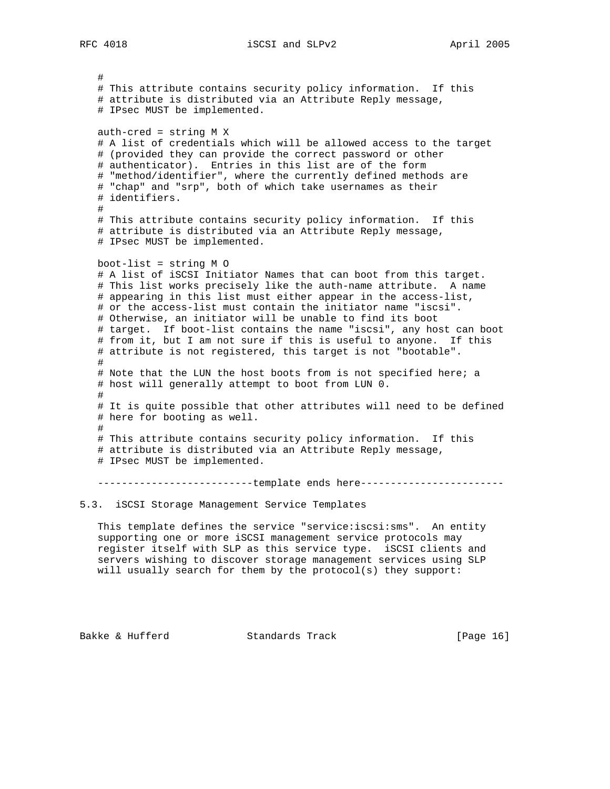# # This attribute contains security policy information. If this # attribute is distributed via an Attribute Reply message, # IPsec MUST be implemented. auth-cred = string M X # A list of credentials which will be allowed access to the target # (provided they can provide the correct password or other # authenticator). Entries in this list are of the form # "method/identifier", where the currently defined methods are # "chap" and "srp", both of which take usernames as their # identifiers. # # This attribute contains security policy information. If this # attribute is distributed via an Attribute Reply message, # IPsec MUST be implemented. boot-list = string M O # A list of iSCSI Initiator Names that can boot from this target. # This list works precisely like the auth-name attribute. A name # appearing in this list must either appear in the access-list, # or the access-list must contain the initiator name "iscsi". # Otherwise, an initiator will be unable to find its boot # target. If boot-list contains the name "iscsi", any host can boot # from it, but I am not sure if this is useful to anyone. If this # attribute is not registered, this target is not "bootable". # # Note that the LUN the host boots from is not specified here; a # host will generally attempt to boot from LUN 0. # # It is quite possible that other attributes will need to be defined # here for booting as well. # # This attribute contains security policy information. If this # attribute is distributed via an Attribute Reply message, # IPsec MUST be implemented.

----------------------------template ends here-------------------------

# 5.3. iSCSI Storage Management Service Templates

 This template defines the service "service:iscsi:sms". An entity supporting one or more iSCSI management service protocols may register itself with SLP as this service type. iSCSI clients and servers wishing to discover storage management services using SLP will usually search for them by the protocol(s) they support:

Bakke & Hufferd Standards Track [Page 16]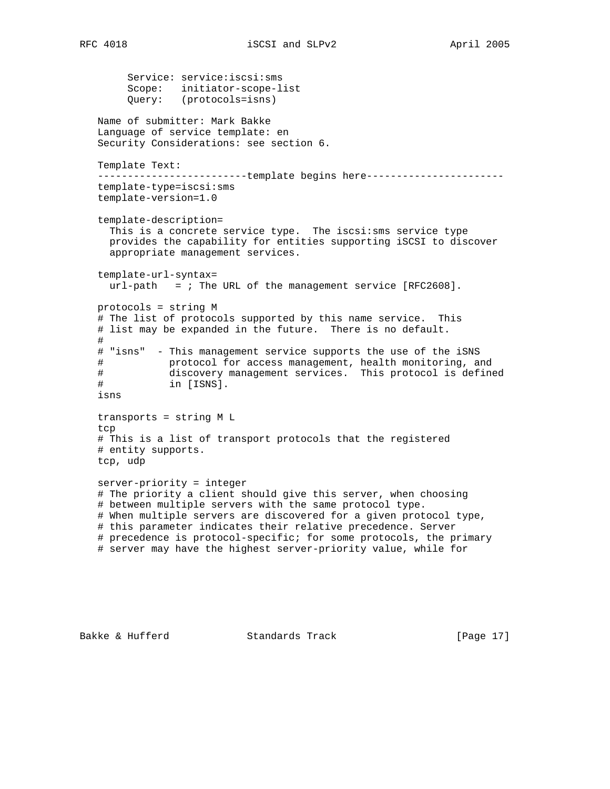Service: service:iscsi:sms Scope: initiator-scope-list Query: (protocols=isns) Name of submitter: Mark Bakke Language of service template: en Security Considerations: see section 6. Template Text: --------------------------template begins here----------------------- template-type=iscsi:sms template-version=1.0 template-description= This is a concrete service type. The iscsi:sms service type provides the capability for entities supporting iSCSI to discover appropriate management services. template-url-syntax=  $url-path =$ ; The URL of the management service  $[RFC2608]$ . protocols = string M # The list of protocols supported by this name service. This # list may be expanded in the future. There is no default. # # "isns" - This management service supports the use of the iSNS # protocol for access management, health monitoring, and # discovery management services. This protocol is defined # in [ISNS]. isns transports = string M L tcp # This is a list of transport protocols that the registered # entity supports. tcp, udp server-priority = integer # The priority a client should give this server, when choosing # between multiple servers with the same protocol type. # When multiple servers are discovered for a given protocol type, # this parameter indicates their relative precedence. Server # precedence is protocol-specific; for some protocols, the primary # server may have the highest server-priority value, while for

Bakke & Hufferd Standards Track [Page 17]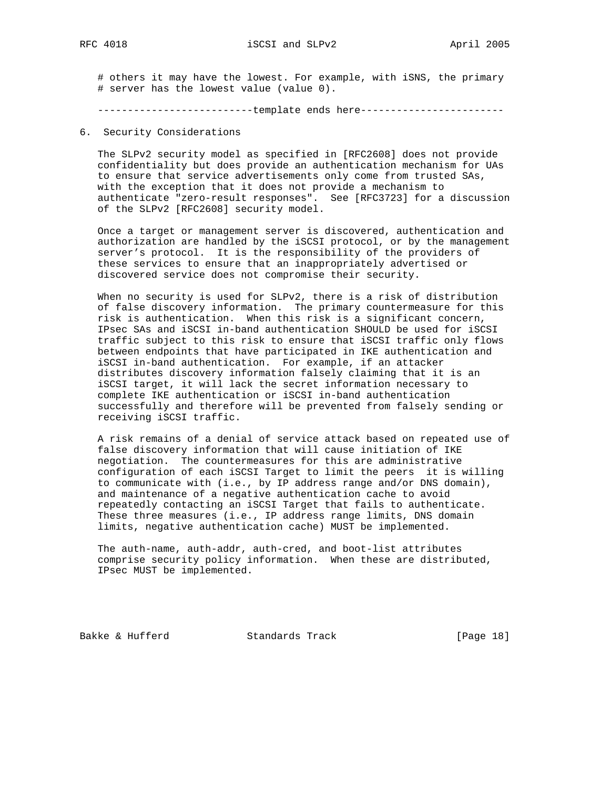# others it may have the lowest. For example, with iSNS, the primary # server has the lowest value (value 0).

---------------------------template ends here-------------------------

### 6. Security Considerations

 The SLPv2 security model as specified in [RFC2608] does not provide confidentiality but does provide an authentication mechanism for UAs to ensure that service advertisements only come from trusted SAs, with the exception that it does not provide a mechanism to authenticate "zero-result responses". See [RFC3723] for a discussion of the SLPv2 [RFC2608] security model.

 Once a target or management server is discovered, authentication and authorization are handled by the iSCSI protocol, or by the management server's protocol. It is the responsibility of the providers of these services to ensure that an inappropriately advertised or discovered service does not compromise their security.

 When no security is used for SLPv2, there is a risk of distribution of false discovery information. The primary countermeasure for this risk is authentication. When this risk is a significant concern, IPsec SAs and iSCSI in-band authentication SHOULD be used for iSCSI traffic subject to this risk to ensure that iSCSI traffic only flows between endpoints that have participated in IKE authentication and iSCSI in-band authentication. For example, if an attacker distributes discovery information falsely claiming that it is an iSCSI target, it will lack the secret information necessary to complete IKE authentication or iSCSI in-band authentication successfully and therefore will be prevented from falsely sending or receiving iSCSI traffic.

 A risk remains of a denial of service attack based on repeated use of false discovery information that will cause initiation of IKE negotiation. The countermeasures for this are administrative configuration of each iSCSI Target to limit the peers it is willing to communicate with (i.e., by IP address range and/or DNS domain), and maintenance of a negative authentication cache to avoid repeatedly contacting an iSCSI Target that fails to authenticate. These three measures (i.e., IP address range limits, DNS domain limits, negative authentication cache) MUST be implemented.

 The auth-name, auth-addr, auth-cred, and boot-list attributes comprise security policy information. When these are distributed, IPsec MUST be implemented.

Bakke & Hufferd Standards Track [Page 18]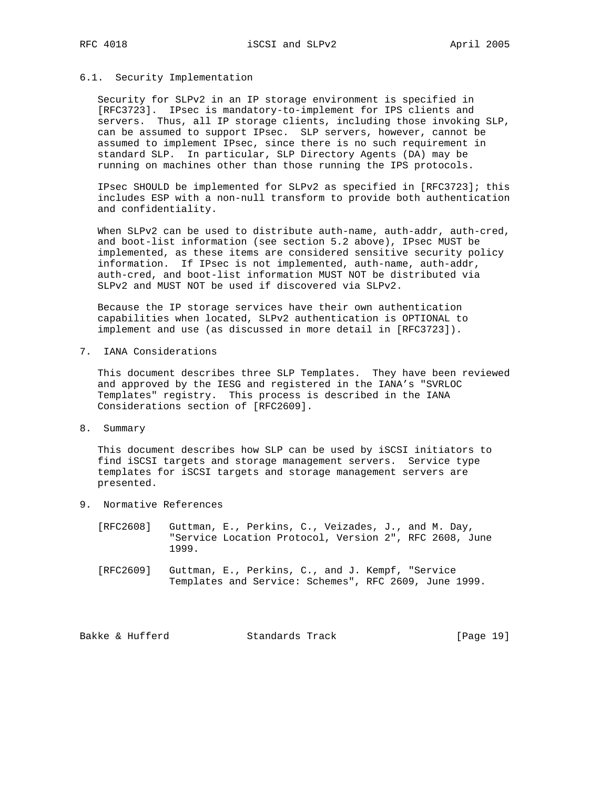#### 6.1. Security Implementation

 Security for SLPv2 in an IP storage environment is specified in [RFC3723]. IPsec is mandatory-to-implement for IPS clients and servers. Thus, all IP storage clients, including those invoking SLP, can be assumed to support IPsec. SLP servers, however, cannot be assumed to implement IPsec, since there is no such requirement in standard SLP. In particular, SLP Directory Agents (DA) may be running on machines other than those running the IPS protocols.

 IPsec SHOULD be implemented for SLPv2 as specified in [RFC3723]; this includes ESP with a non-null transform to provide both authentication and confidentiality.

 When SLPv2 can be used to distribute auth-name, auth-addr, auth-cred, and boot-list information (see section 5.2 above), IPsec MUST be implemented, as these items are considered sensitive security policy information. If IPsec is not implemented, auth-name, auth-addr, auth-cred, and boot-list information MUST NOT be distributed via SLPv2 and MUST NOT be used if discovered via SLPv2.

 Because the IP storage services have their own authentication capabilities when located, SLPv2 authentication is OPTIONAL to implement and use (as discussed in more detail in [RFC3723]).

7. IANA Considerations

 This document describes three SLP Templates. They have been reviewed and approved by the IESG and registered in the IANA's "SVRLOC Templates" registry. This process is described in the IANA Considerations section of [RFC2609].

8. Summary

 This document describes how SLP can be used by iSCSI initiators to find iSCSI targets and storage management servers. Service type templates for iSCSI targets and storage management servers are presented.

- 9. Normative References
	- [RFC2608] Guttman, E., Perkins, C., Veizades, J., and M. Day, "Service Location Protocol, Version 2", RFC 2608, June 1999.
	- [RFC2609] Guttman, E., Perkins, C., and J. Kempf, "Service Templates and Service: Schemes", RFC 2609, June 1999.

Bakke & Hufferd Standards Track [Page 19]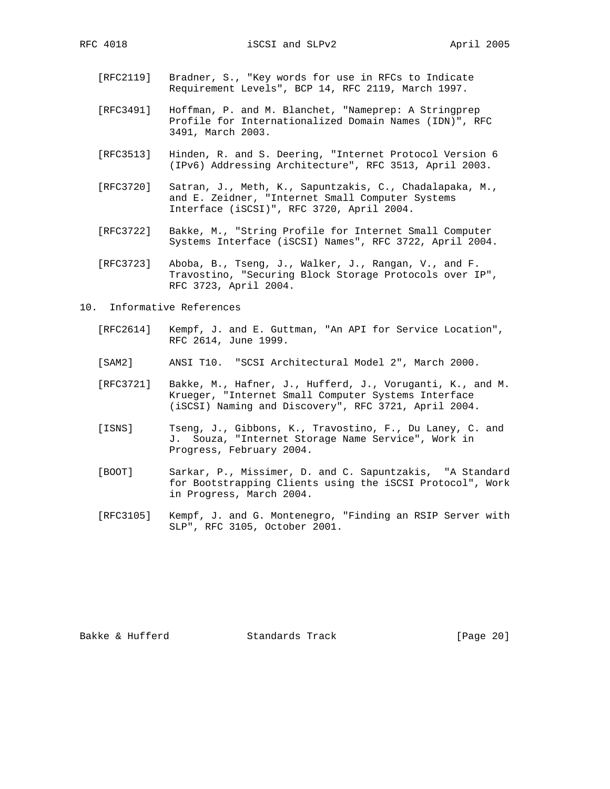- [RFC2119] Bradner, S., "Key words for use in RFCs to Indicate Requirement Levels", BCP 14, RFC 2119, March 1997.
- [RFC3491] Hoffman, P. and M. Blanchet, "Nameprep: A Stringprep Profile for Internationalized Domain Names (IDN)", RFC 3491, March 2003.
- [RFC3513] Hinden, R. and S. Deering, "Internet Protocol Version 6 (IPv6) Addressing Architecture", RFC 3513, April 2003.
- [RFC3720] Satran, J., Meth, K., Sapuntzakis, C., Chadalapaka, M., and E. Zeidner, "Internet Small Computer Systems Interface (iSCSI)", RFC 3720, April 2004.
- [RFC3722] Bakke, M., "String Profile for Internet Small Computer Systems Interface (iSCSI) Names", RFC 3722, April 2004.
- [RFC3723] Aboba, B., Tseng, J., Walker, J., Rangan, V., and F. Travostino, "Securing Block Storage Protocols over IP", RFC 3723, April 2004.
- 10. Informative References
	- [RFC2614] Kempf, J. and E. Guttman, "An API for Service Location", RFC 2614, June 1999.
	- [SAM2] ANSI T10. "SCSI Architectural Model 2", March 2000.
	- [RFC3721] Bakke, M., Hafner, J., Hufferd, J., Voruganti, K., and M. Krueger, "Internet Small Computer Systems Interface (iSCSI) Naming and Discovery", RFC 3721, April 2004.
	- [ISNS] Tseng, J., Gibbons, K., Travostino, F., Du Laney, C. and J. Souza, "Internet Storage Name Service", Work in Progress, February 2004.
	- [BOOT] Sarkar, P., Missimer, D. and C. Sapuntzakis, "A Standard for Bootstrapping Clients using the iSCSI Protocol", Work in Progress, March 2004.
	- [RFC3105] Kempf, J. and G. Montenegro, "Finding an RSIP Server with SLP", RFC 3105, October 2001.

Bakke & Hufferd Standards Track [Page 20]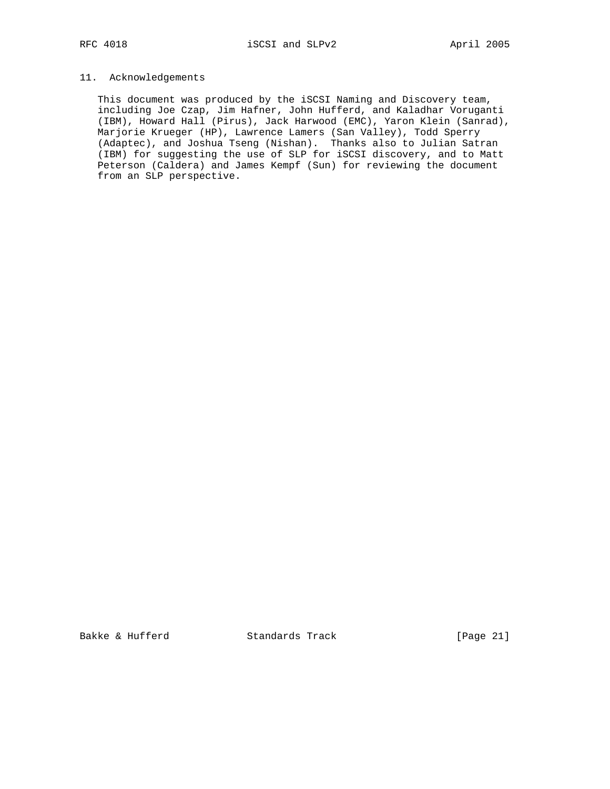# 11. Acknowledgements

 This document was produced by the iSCSI Naming and Discovery team, including Joe Czap, Jim Hafner, John Hufferd, and Kaladhar Voruganti (IBM), Howard Hall (Pirus), Jack Harwood (EMC), Yaron Klein (Sanrad), Marjorie Krueger (HP), Lawrence Lamers (San Valley), Todd Sperry (Adaptec), and Joshua Tseng (Nishan). Thanks also to Julian Satran (IBM) for suggesting the use of SLP for iSCSI discovery, and to Matt Peterson (Caldera) and James Kempf (Sun) for reviewing the document from an SLP perspective.

Bakke & Hufferd Standards Track [Page 21]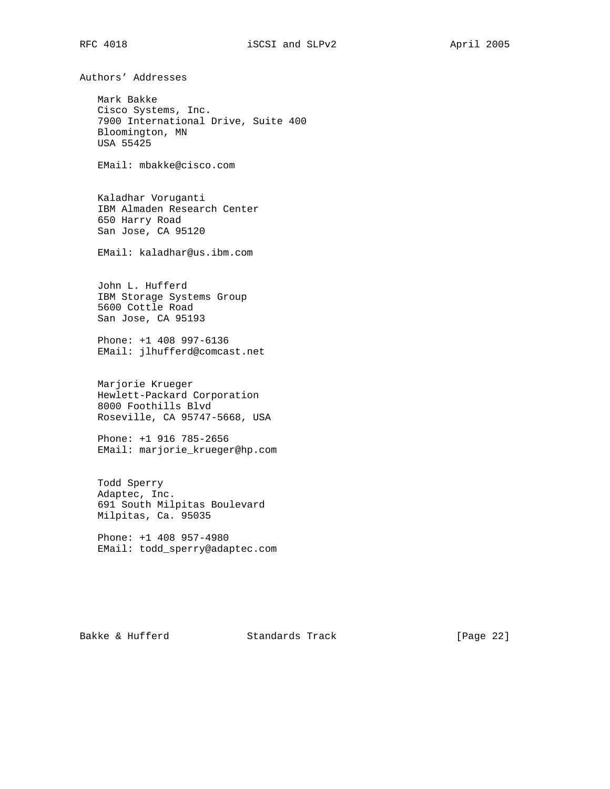Authors' Addresses

 Mark Bakke Cisco Systems, Inc. 7900 International Drive, Suite 400 Bloomington, MN USA 55425

EMail: mbakke@cisco.com

 Kaladhar Voruganti IBM Almaden Research Center 650 Harry Road San Jose, CA 95120

EMail: kaladhar@us.ibm.com

 John L. Hufferd IBM Storage Systems Group 5600 Cottle Road San Jose, CA 95193

 Phone: +1 408 997-6136 EMail: jlhufferd@comcast.net

 Marjorie Krueger Hewlett-Packard Corporation 8000 Foothills Blvd Roseville, CA 95747-5668, USA

 Phone: +1 916 785-2656 EMail: marjorie\_krueger@hp.com

 Todd Sperry Adaptec, Inc. 691 South Milpitas Boulevard Milpitas, Ca. 95035

 Phone: +1 408 957-4980 EMail: todd\_sperry@adaptec.com

Bakke & Hufferd Standards Track [Page 22]